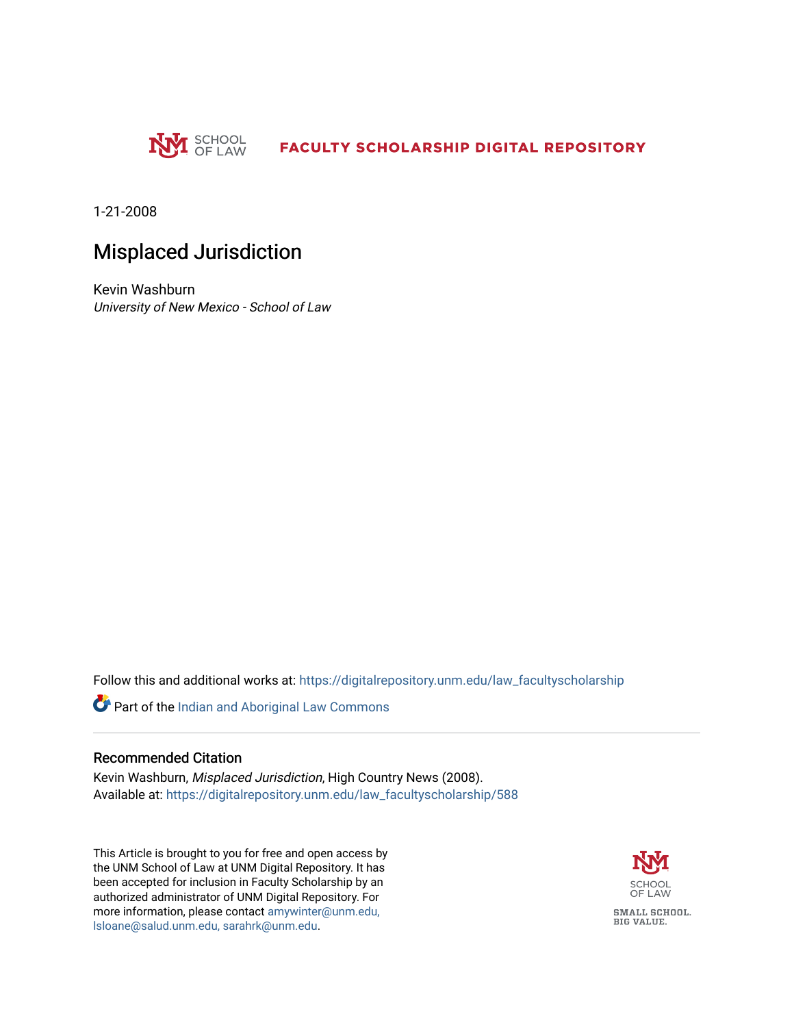

1-21-2008

### Misplaced Jurisdiction

Kevin Washburn University of New Mexico - School of Law

Follow this and additional works at: [https://digitalrepository.unm.edu/law\\_facultyscholarship](https://digitalrepository.unm.edu/law_facultyscholarship?utm_source=digitalrepository.unm.edu%2Flaw_facultyscholarship%2F588&utm_medium=PDF&utm_campaign=PDFCoverPages) 

Part of the [Indian and Aboriginal Law Commons](http://network.bepress.com/hgg/discipline/894?utm_source=digitalrepository.unm.edu%2Flaw_facultyscholarship%2F588&utm_medium=PDF&utm_campaign=PDFCoverPages) 

#### Recommended Citation

Kevin Washburn, Misplaced Jurisdiction, High Country News (2008). Available at: [https://digitalrepository.unm.edu/law\\_facultyscholarship/588](https://digitalrepository.unm.edu/law_facultyscholarship/588?utm_source=digitalrepository.unm.edu%2Flaw_facultyscholarship%2F588&utm_medium=PDF&utm_campaign=PDFCoverPages) 

This Article is brought to you for free and open access by the UNM School of Law at UNM Digital Repository. It has been accepted for inclusion in Faculty Scholarship by an authorized administrator of UNM Digital Repository. For more information, please contact [amywinter@unm.edu,](mailto:amywinter@unm.edu,%20lsloane@salud.unm.edu,%20sarahrk@unm.edu)  [lsloane@salud.unm.edu, sarahrk@unm.edu.](mailto:amywinter@unm.edu,%20lsloane@salud.unm.edu,%20sarahrk@unm.edu)

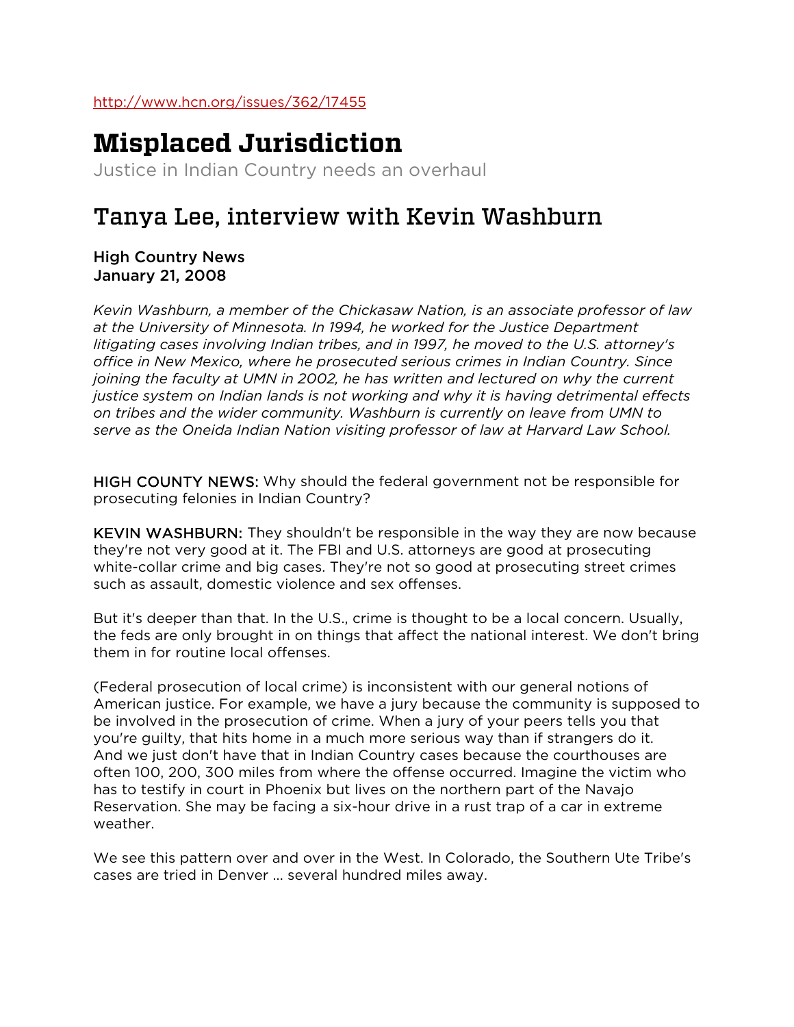# **Misplaced Jurisdiction**

Justice in Indian Country needs an overhaul

## Tanya Lee, interview with Kevin Washburn

High Country News January 21, 2008

*Kevin Washburn, a member of the Chickasaw Nation, is an associate professor of law at the University of Minnesota. In 1994, he worked for the Justice Department litigating cases involving Indian tribes, and in 1997, he moved to the U.S. attorney's office in New Mexico, where he prosecuted serious crimes in Indian Country. Since joining the faculty at UMN in 2002, he has written and lectured on why the current justice system on Indian lands is not working and why it is having detrimental effects on tribes and the wider community. Washburn is currently on leave from UMN to serve as the Oneida Indian Nation visiting professor of law at Harvard Law School.*

HIGH COUNTY NEWS: Why should the federal government not be responsible for prosecuting felonies in Indian Country?

KEVIN WASHBURN: They shouldn't be responsible in the way they are now because they're not very good at it. The FBI and U.S. attorneys are good at prosecuting white-collar crime and big cases. They're not so good at prosecuting street crimes such as assault, domestic violence and sex offenses.

But it's deeper than that. In the U.S., crime is thought to be a local concern. Usually, the feds are only brought in on things that affect the national interest. We don't bring them in for routine local offenses.

(Federal prosecution of local crime) is inconsistent with our general notions of American justice. For example, we have a jury because the community is supposed to be involved in the prosecution of crime. When a jury of your peers tells you that you're guilty, that hits home in a much more serious way than if strangers do it. And we just don't have that in Indian Country cases because the courthouses are often 100, 200, 300 miles from where the offense occurred. Imagine the victim who has to testify in court in Phoenix but lives on the northern part of the Navajo Reservation. She may be facing a six-hour drive in a rust trap of a car in extreme weather.

We see this pattern over and over in the West. In Colorado, the Southern Ute Tribe's cases are tried in Denver ... several hundred miles away.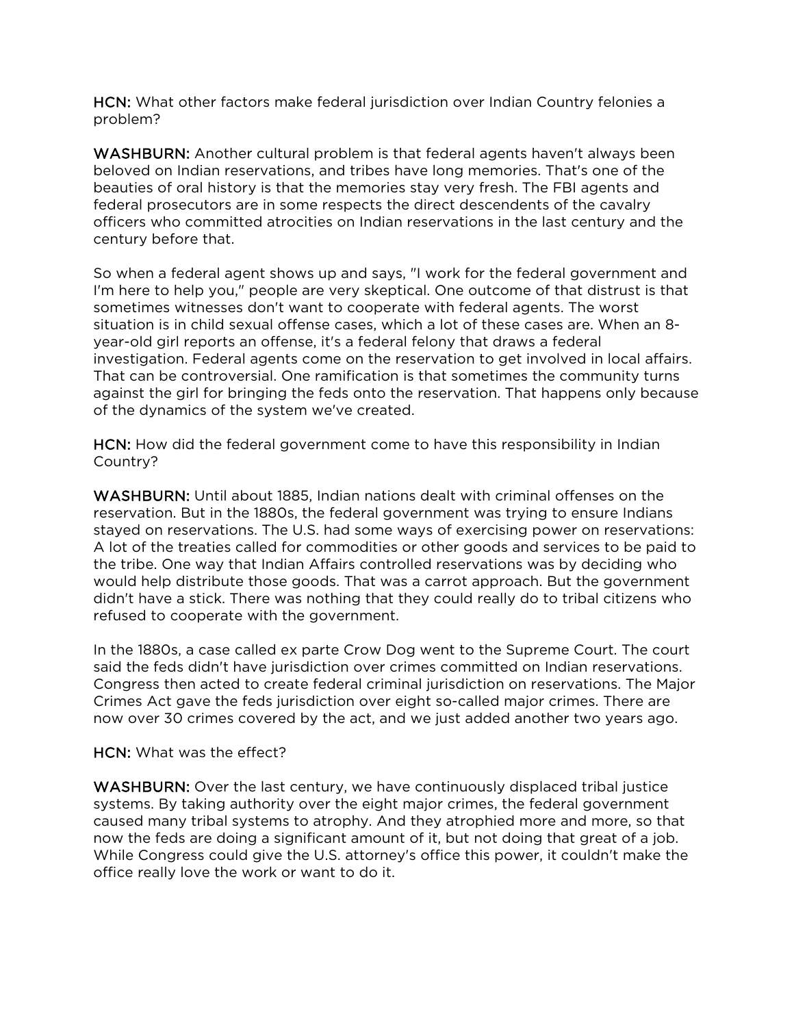HCN: What other factors make federal jurisdiction over Indian Country felonies a problem?

WASHBURN: Another cultural problem is that federal agents haven't always been beloved on Indian reservations, and tribes have long memories. That's one of the beauties of oral history is that the memories stay very fresh. The FBI agents and federal prosecutors are in some respects the direct descendents of the cavalry officers who committed atrocities on Indian reservations in the last century and the century before that.

So when a federal agent shows up and says, "I work for the federal government and I'm here to help you," people are very skeptical. One outcome of that distrust is that sometimes witnesses don't want to cooperate with federal agents. The worst situation is in child sexual offense cases, which a lot of these cases are. When an 8 year-old girl reports an offense, it's a federal felony that draws a federal investigation. Federal agents come on the reservation to get involved in local affairs. That can be controversial. One ramification is that sometimes the community turns against the girl for bringing the feds onto the reservation. That happens only because of the dynamics of the system we've created.

HCN: How did the federal government come to have this responsibility in Indian Country?

WASHBURN: Until about 1885, Indian nations dealt with criminal offenses on the reservation. But in the 1880s, the federal government was trying to ensure Indians stayed on reservations. The U.S. had some ways of exercising power on reservations: A lot of the treaties called for commodities or other goods and services to be paid to the tribe. One way that Indian Affairs controlled reservations was by deciding who would help distribute those goods. That was a carrot approach. But the government didn't have a stick. There was nothing that they could really do to tribal citizens who refused to cooperate with the government.

In the 1880s, a case called ex parte Crow Dog went to the Supreme Court. The court said the feds didn't have jurisdiction over crimes committed on Indian reservations. Congress then acted to create federal criminal jurisdiction on reservations. The Major Crimes Act gave the feds jurisdiction over eight so-called major crimes. There are now over 30 crimes covered by the act, and we just added another two years ago.

### HCN: What was the effect?

WASHBURN: Over the last century, we have continuously displaced tribal justice systems. By taking authority over the eight major crimes, the federal government caused many tribal systems to atrophy. And they atrophied more and more, so that now the feds are doing a significant amount of it, but not doing that great of a job. While Congress could give the U.S. attorney's office this power, it couldn't make the office really love the work or want to do it.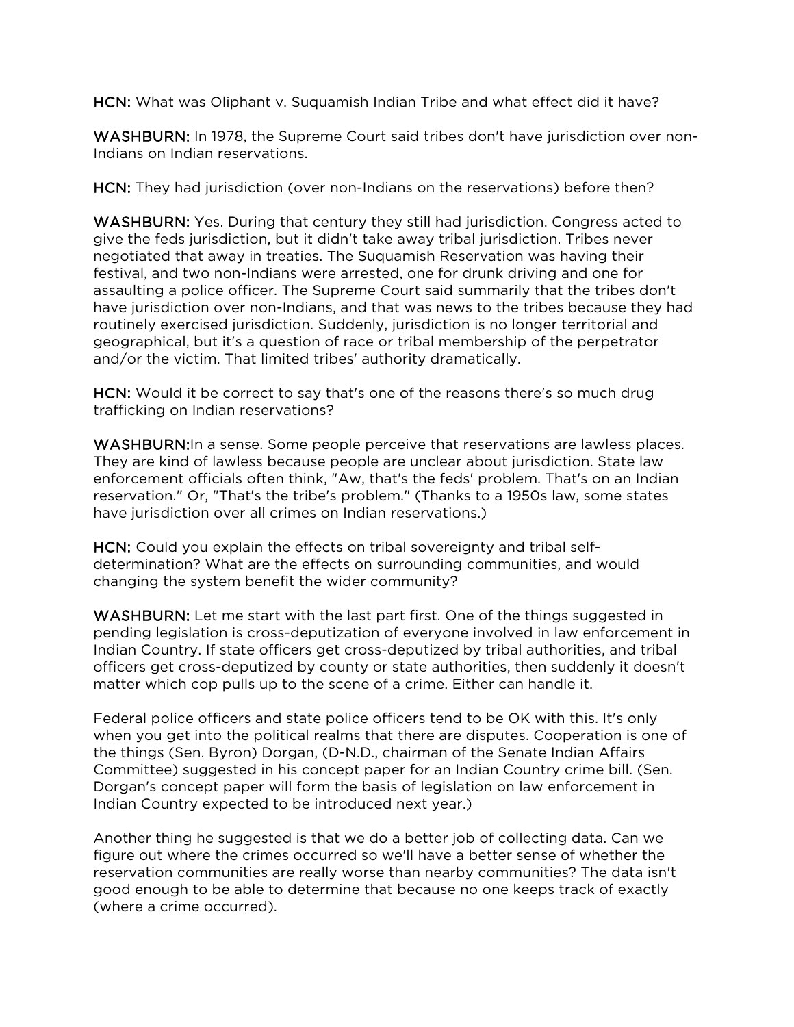HCN: What was Oliphant v. Suquamish Indian Tribe and what effect did it have?

WASHBURN: In 1978, the Supreme Court said tribes don't have jurisdiction over non-Indians on Indian reservations.

HCN: They had jurisdiction (over non-Indians on the reservations) before then?

WASHBURN: Yes. During that century they still had jurisdiction. Congress acted to give the feds jurisdiction, but it didn't take away tribal jurisdiction. Tribes never negotiated that away in treaties. The Suquamish Reservation was having their festival, and two non-Indians were arrested, one for drunk driving and one for assaulting a police officer. The Supreme Court said summarily that the tribes don't have jurisdiction over non-Indians, and that was news to the tribes because they had routinely exercised jurisdiction. Suddenly, jurisdiction is no longer territorial and geographical, but it's a question of race or tribal membership of the perpetrator and/or the victim. That limited tribes' authority dramatically.

HCN: Would it be correct to say that's one of the reasons there's so much drug trafficking on Indian reservations?

WASHBURN: In a sense. Some people perceive that reservations are lawless places. They are kind of lawless because people are unclear about jurisdiction. State law enforcement officials often think, "Aw, that's the feds' problem. That's on an Indian reservation." Or, "That's the tribe's problem." (Thanks to a 1950s law, some states have jurisdiction over all crimes on Indian reservations.)

HCN: Could you explain the effects on tribal sovereignty and tribal selfdetermination? What are the effects on surrounding communities, and would changing the system benefit the wider community?

WASHBURN: Let me start with the last part first. One of the things suggested in pending legislation is cross-deputization of everyone involved in law enforcement in Indian Country. If state officers get cross-deputized by tribal authorities, and tribal officers get cross-deputized by county or state authorities, then suddenly it doesn't matter which cop pulls up to the scene of a crime. Either can handle it.

Federal police officers and state police officers tend to be OK with this. It's only when you get into the political realms that there are disputes. Cooperation is one of the things (Sen. Byron) Dorgan, (D-N.D., chairman of the Senate Indian Affairs Committee) suggested in his concept paper for an Indian Country crime bill. (Sen. Dorgan's concept paper will form the basis of legislation on law enforcement in Indian Country expected to be introduced next year.)

Another thing he suggested is that we do a better job of collecting data. Can we figure out where the crimes occurred so we'll have a better sense of whether the reservation communities are really worse than nearby communities? The data isn't good enough to be able to determine that because no one keeps track of exactly (where a crime occurred).